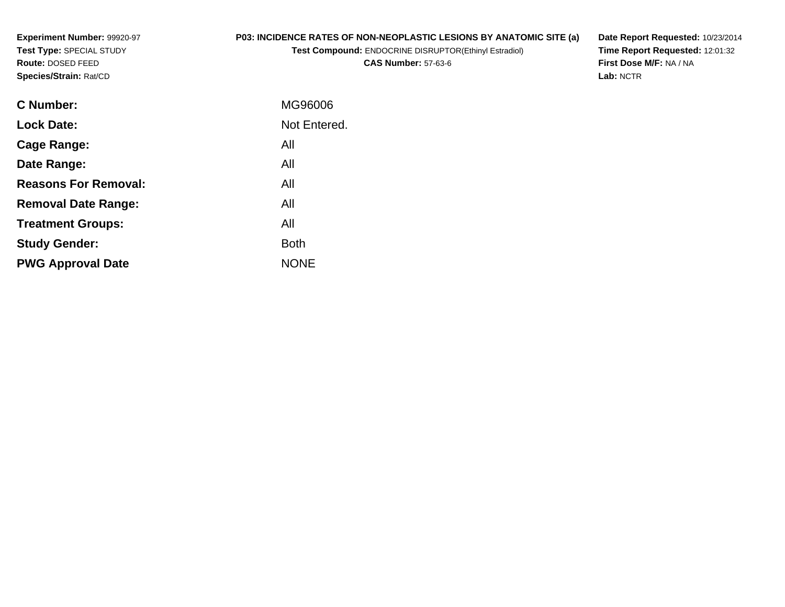**Experiment Number:** 99920-97**Test Type:** SPECIAL STUDY**Route:** DOSED FEED**Species/Strain:** Rat/CD

# **P03: INCIDENCE RATES OF NON-NEOPLASTIC LESIONS BY ANATOMIC SITE (a)**

**Test Compound:** ENDOCRINE DISRUPTOR(Ethinyl Estradiol)

**CAS Number:** 57-63-6

**Date Report Requested:** 10/23/2014 **Time Report Requested:** 12:01:32**First Dose M/F:** NA / NA**Lab:** NCTR

| MG96006      |
|--------------|
| Not Entered. |
| All          |
| All          |
| All          |
| All          |
| All          |
| <b>Both</b>  |
| <b>NONE</b>  |
|              |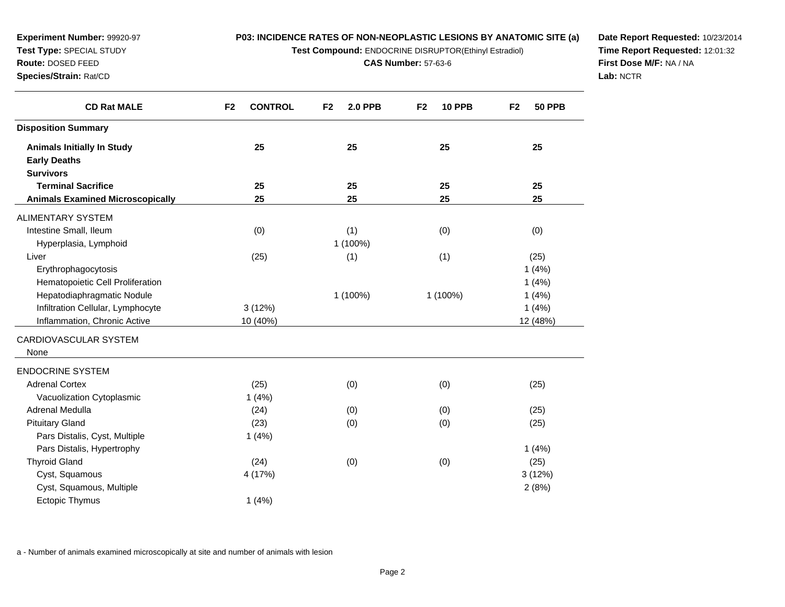**Test Compound:** ENDOCRINE DISRUPTOR(Ethinyl Estradiol)

**CAS Number:** 57-63-6

**Date Report Requested:** 10/23/2014**Time Report Requested:** 12:01:32**First Dose M/F:** NA / NA**Lab:** NCTR

| <b>CD Rat MALE</b>                      | F <sub>2</sub><br><b>CONTROL</b> | F <sub>2</sub><br><b>2.0 PPB</b> | <b>10 PPB</b><br>F <sub>2</sub> | <b>50 PPB</b><br>F <sub>2</sub> |
|-----------------------------------------|----------------------------------|----------------------------------|---------------------------------|---------------------------------|
| <b>Disposition Summary</b>              |                                  |                                  |                                 |                                 |
| <b>Animals Initially In Study</b>       | 25                               | 25                               | 25                              | 25                              |
| <b>Early Deaths</b>                     |                                  |                                  |                                 |                                 |
| <b>Survivors</b>                        |                                  |                                  |                                 |                                 |
| <b>Terminal Sacrifice</b>               | 25                               | 25                               | 25                              | 25                              |
| <b>Animals Examined Microscopically</b> | 25                               | 25                               | 25                              | 25                              |
| ALIMENTARY SYSTEM                       |                                  |                                  |                                 |                                 |
| Intestine Small, Ileum                  | (0)                              | (1)                              | (0)                             | (0)                             |
| Hyperplasia, Lymphoid                   |                                  | 1 (100%)                         |                                 |                                 |
| Liver                                   | (25)                             | (1)                              | (1)                             | (25)                            |
| Erythrophagocytosis                     |                                  |                                  |                                 | 1(4%)                           |
| Hematopoietic Cell Proliferation        |                                  |                                  |                                 | 1(4%)                           |
| Hepatodiaphragmatic Nodule              |                                  | 1 (100%)                         | 1 (100%)                        | 1(4%)                           |
| Infiltration Cellular, Lymphocyte       | 3(12%)                           |                                  |                                 | 1(4%)                           |
| Inflammation, Chronic Active            | 10 (40%)                         |                                  |                                 | 12 (48%)                        |
| CARDIOVASCULAR SYSTEM                   |                                  |                                  |                                 |                                 |
| None                                    |                                  |                                  |                                 |                                 |
| <b>ENDOCRINE SYSTEM</b>                 |                                  |                                  |                                 |                                 |
| <b>Adrenal Cortex</b>                   | (25)                             | (0)                              | (0)                             | (25)                            |
| Vacuolization Cytoplasmic               | 1(4%)                            |                                  |                                 |                                 |
| Adrenal Medulla                         | (24)                             | (0)                              | (0)                             | (25)                            |
| <b>Pituitary Gland</b>                  | (23)                             | (0)                              | (0)                             | (25)                            |
| Pars Distalis, Cyst, Multiple           | 1(4%)                            |                                  |                                 |                                 |
| Pars Distalis, Hypertrophy              |                                  |                                  |                                 | 1(4%)                           |
| <b>Thyroid Gland</b>                    | (24)                             | (0)                              | (0)                             | (25)                            |
| Cyst, Squamous                          | 4 (17%)                          |                                  |                                 | 3(12%)                          |
| Cyst, Squamous, Multiple                |                                  |                                  |                                 | 2(8%)                           |
| <b>Ectopic Thymus</b>                   | 1(4%)                            |                                  |                                 |                                 |

a - Number of animals examined microscopically at site and number of animals with lesion

**Experiment Number:** 99920-97**Test Type:** SPECIAL STUDY**Route:** DOSED FEED**Species/Strain:** Rat/CD

 $\overline{\phantom{0}}$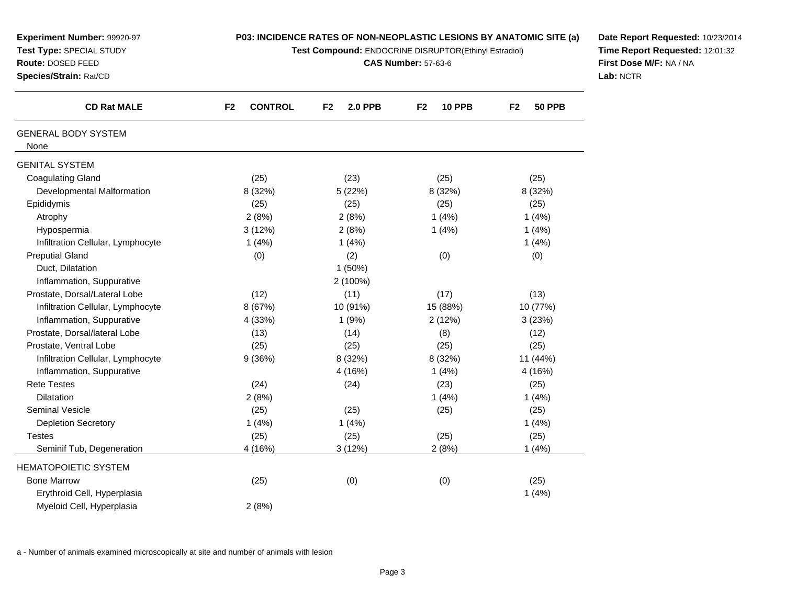| Experiment Number: 99920-97<br>Test Type: SPECIAL STUDY<br>Route: DOSED FEED<br>Species/Strain: Rat/CD | P03: INCIDENCE RATES OF NON-NEOPLASTIC LESIONS BY ANATOMIC SITE (a)<br>Test Compound: ENDOCRINE DISRUPTOR(Ethinyl Estradiol)<br><b>CAS Number: 57-63-6</b> |                                  |                                 |                                 | Date Report I<br><b>Time Report</b><br><b>First Dose M</b><br>Lab: NCTR |
|--------------------------------------------------------------------------------------------------------|------------------------------------------------------------------------------------------------------------------------------------------------------------|----------------------------------|---------------------------------|---------------------------------|-------------------------------------------------------------------------|
| <b>CD Rat MALE</b>                                                                                     | <b>CONTROL</b><br>F <sub>2</sub>                                                                                                                           | F <sub>2</sub><br><b>2.0 PPB</b> | <b>10 PPB</b><br>F <sub>2</sub> | <b>50 PPB</b><br>F <sub>2</sub> |                                                                         |
| <b>GENERAL BODY SYSTEM</b><br>None                                                                     |                                                                                                                                                            |                                  |                                 |                                 |                                                                         |
| <b>GENITAL SYSTEM</b>                                                                                  |                                                                                                                                                            |                                  |                                 |                                 |                                                                         |
| <b>Coagulating Gland</b>                                                                               | (25)                                                                                                                                                       | (23)                             | (25)                            | (25)                            |                                                                         |
| Developmental Malformation                                                                             | 8 (32%)                                                                                                                                                    | 5(22%)                           | 8 (32%)                         | 8 (32%)                         |                                                                         |
| Epididymis                                                                                             | (25)                                                                                                                                                       | (25)                             | (25)                            | (25)                            |                                                                         |
| Atrophy                                                                                                | 2(8%)                                                                                                                                                      | 2(8%)                            | 1(4%)                           | 1(4%)                           |                                                                         |
| Hypospermia                                                                                            | 3(12%)                                                                                                                                                     | 2(8%)                            | 1(4%)                           | 1(4%)                           |                                                                         |
| Infiltration Cellular, Lymphocyte                                                                      | 1(4%)                                                                                                                                                      | 1(4%)                            |                                 | 1(4%)                           |                                                                         |
| <b>Preputial Gland</b>                                                                                 | (0)                                                                                                                                                        | (2)                              | (0)                             | (0)                             |                                                                         |
| Duct, Dilatation                                                                                       |                                                                                                                                                            | 1(50%)                           |                                 |                                 |                                                                         |
| Inflammation, Suppurative                                                                              |                                                                                                                                                            | 2 (100%)                         |                                 |                                 |                                                                         |
| Prostate, Dorsal/Lateral Lobe                                                                          | (12)                                                                                                                                                       | (11)                             | (17)                            | (13)                            |                                                                         |
| Infiltration Cellular, Lymphocyte                                                                      | 8 (67%)                                                                                                                                                    | 10 (91%)                         | 15 (88%)                        | 10 (77%)                        |                                                                         |
| Inflammation, Suppurative                                                                              | 4 (33%)                                                                                                                                                    | 1(9%)                            | 2(12%)                          | 3(23%)                          |                                                                         |
| Prostate, Dorsal/lateral Lobe                                                                          | (13)                                                                                                                                                       | (14)                             | (8)                             | (12)                            |                                                                         |
| Prostate, Ventral Lobe                                                                                 | (25)                                                                                                                                                       | (25)                             | (25)                            | (25)                            |                                                                         |
| Infiltration Cellular, Lymphocyte                                                                      | 9(36%)                                                                                                                                                     | 8 (32%)                          | 8 (32%)                         | 11 (44%)                        |                                                                         |
| Inflammation, Suppurative                                                                              |                                                                                                                                                            | 4 (16%)                          | 1(4%)                           | 4 (16%)                         |                                                                         |
| <b>Rete Testes</b>                                                                                     | (24)                                                                                                                                                       | (24)                             | (23)                            | (25)                            |                                                                         |
| <b>Dilatation</b>                                                                                      | 2(8%)                                                                                                                                                      |                                  | 1(4%)                           | 1(4%)                           |                                                                         |
| Seminal Vesicle                                                                                        | (25)                                                                                                                                                       | (25)                             | (25)                            | (25)                            |                                                                         |
| <b>Depletion Secretory</b>                                                                             | 1(4%)                                                                                                                                                      | 1(4%)                            |                                 | 1(4%)                           |                                                                         |
| <b>Testes</b>                                                                                          | (25)                                                                                                                                                       | (25)                             | (25)                            | (25)                            |                                                                         |
| Seminif Tub, Degeneration                                                                              | 4 (16%)                                                                                                                                                    | 3(12%)                           | 2(8%)                           | 1(4%)                           |                                                                         |
| <b>HEMATOPOIETIC SYSTEM</b>                                                                            |                                                                                                                                                            |                                  |                                 |                                 |                                                                         |
| <b>Bone Marrow</b>                                                                                     | (25)                                                                                                                                                       | (0)                              | (0)                             | (25)                            |                                                                         |
| Erythroid Cell, Hyperplasia                                                                            |                                                                                                                                                            |                                  |                                 | 1(4%)                           |                                                                         |
| Myeloid Cell, Hyperplasia                                                                              | 2(8%)                                                                                                                                                      |                                  |                                 |                                 |                                                                         |

a - Number of animals examined microscopically at site and number of animals with lesion

**Date Report Requested:** 10/23/2014**Time Report Requested:** 12:01:32**F:** NA / NA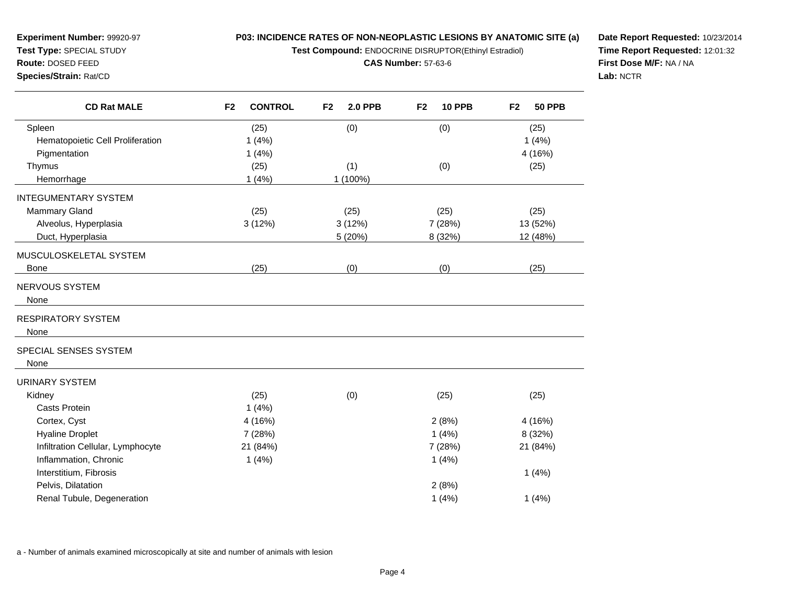**Test Compound:** ENDOCRINE DISRUPTOR(Ethinyl Estradiol)

**CAS Number:** 57-63-6

**Date Report Requested:** 10/23/2014 **Time Report Requested:** 12:01:32**First Dose M/F:** NA / NA**Lab:** NCTR

| <b>CD Rat MALE</b>                | F <sub>2</sub><br><b>CONTROL</b> | F <sub>2</sub><br><b>2.0 PPB</b> | <b>10 PPB</b><br>F <sub>2</sub> | F <sub>2</sub><br><b>50 PPB</b> |
|-----------------------------------|----------------------------------|----------------------------------|---------------------------------|---------------------------------|
| Spleen                            | (25)                             | (0)                              | (0)                             | (25)                            |
| Hematopoietic Cell Proliferation  | 1(4%)                            |                                  |                                 | 1(4%)                           |
| Pigmentation                      | 1(4%)                            |                                  |                                 | 4 (16%)                         |
| Thymus                            | (25)                             | (1)                              | (0)                             | (25)                            |
| Hemorrhage                        | 1(4%)                            | 1 (100%)                         |                                 |                                 |
| <b>INTEGUMENTARY SYSTEM</b>       |                                  |                                  |                                 |                                 |
| <b>Mammary Gland</b>              | (25)                             | (25)                             | (25)                            | (25)                            |
| Alveolus, Hyperplasia             | 3(12%)                           | 3(12%)                           | 7 (28%)                         | 13 (52%)                        |
| Duct, Hyperplasia                 |                                  | 5 (20%)                          | 8 (32%)                         | 12 (48%)                        |
| MUSCULOSKELETAL SYSTEM            |                                  |                                  |                                 |                                 |
| <b>Bone</b>                       | (25)                             | (0)                              | (0)                             | (25)                            |
| <b>NERVOUS SYSTEM</b>             |                                  |                                  |                                 |                                 |
| None                              |                                  |                                  |                                 |                                 |
| <b>RESPIRATORY SYSTEM</b>         |                                  |                                  |                                 |                                 |
| None                              |                                  |                                  |                                 |                                 |
| SPECIAL SENSES SYSTEM             |                                  |                                  |                                 |                                 |
| None                              |                                  |                                  |                                 |                                 |
| <b>URINARY SYSTEM</b>             |                                  |                                  |                                 |                                 |
| Kidney                            | (25)                             | (0)                              | (25)                            | (25)                            |
| Casts Protein                     | 1(4%)                            |                                  |                                 |                                 |
| Cortex, Cyst                      | 4 (16%)                          |                                  | 2(8%)                           | 4 (16%)                         |
| <b>Hyaline Droplet</b>            | 7 (28%)                          |                                  | 1(4%)                           | 8 (32%)                         |
| Infiltration Cellular, Lymphocyte | 21 (84%)                         |                                  | 7 (28%)                         | 21 (84%)                        |
| Inflammation, Chronic             | 1(4%)                            |                                  | 1(4%)                           |                                 |
| Interstitium, Fibrosis            |                                  |                                  |                                 | 1(4%)                           |
| Pelvis, Dilatation                |                                  |                                  | 2(8%)                           |                                 |
| Renal Tubule, Degeneration        |                                  |                                  | 1(4%)                           | 1(4%)                           |

a - Number of animals examined microscopically at site and number of animals with lesion

**Experiment Number:** 99920-97**Test Type:** SPECIAL STUDY**Route:** DOSED FEED**Species/Strain:** Rat/CD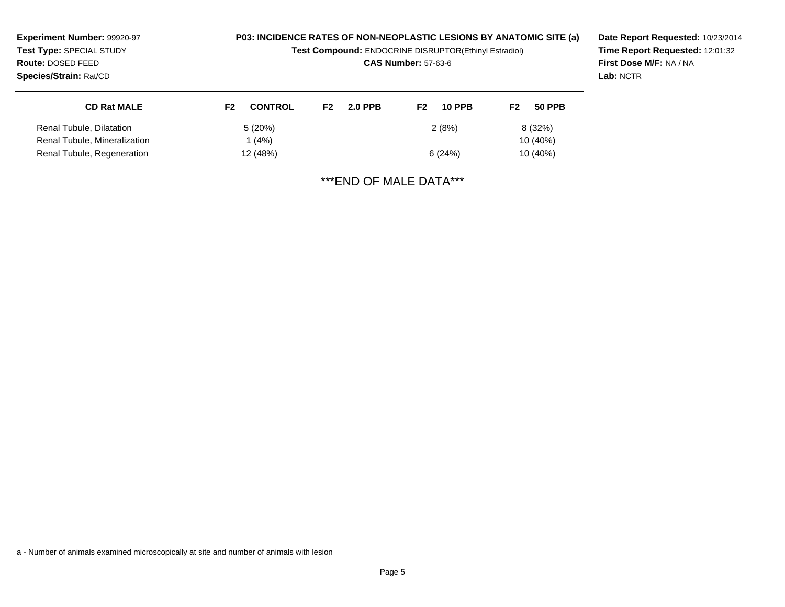| Experiment Number: 99920-97<br>Test Type: SPECIAL STUDY<br>Route: DOSED FEED<br><b>Species/Strain: Rat/CD</b> |                                  | <b>P03: INCIDENCE RATES OF NON-NEOPLASTIC LESIONS BY ANATOMIC SITE (a)</b><br>Test Compound: ENDOCRINE DISRUPTOR(Ethinyl Estradiol)<br><b>CAS Number: 57-63-6</b> |                                 |                                 | Date Report Requested: 10/23/2014<br>Time Report Requested: 12:01:32<br>First Dose M/F: NA / NA<br>Lab: NCTR |
|---------------------------------------------------------------------------------------------------------------|----------------------------------|-------------------------------------------------------------------------------------------------------------------------------------------------------------------|---------------------------------|---------------------------------|--------------------------------------------------------------------------------------------------------------|
| <b>CD Rat MALE</b>                                                                                            | <b>CONTROL</b><br>F <sub>2</sub> | <b>2.0 PPB</b><br>F <sub>2</sub>                                                                                                                                  | F <sub>2</sub><br><b>10 PPB</b> | <b>50 PPB</b><br>F <sub>2</sub> |                                                                                                              |
| Renal Tubule, Dilatation                                                                                      | 5(20%)                           |                                                                                                                                                                   | 2(8%)                           | 8 (32%)                         |                                                                                                              |
| Renal Tubule, Mineralization                                                                                  | 1 (4%)                           |                                                                                                                                                                   |                                 | 10 (40%)                        |                                                                                                              |
| Renal Tubule, Regeneration                                                                                    | 12 (48%)                         |                                                                                                                                                                   | 6(24%)                          | 10 (40%)                        |                                                                                                              |

\*\*\*END OF MALE DATA\*\*\*

a - Number of animals examined microscopically at site and number of animals with lesion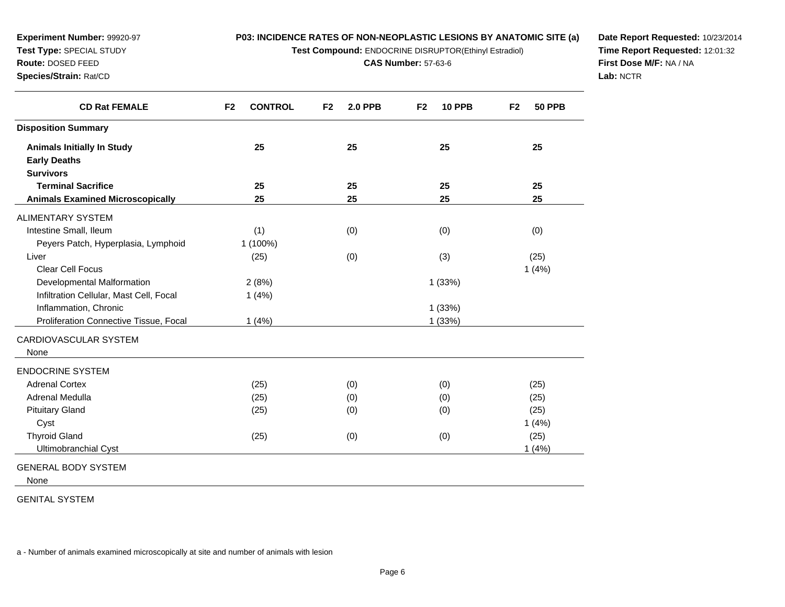**Test Compound:** ENDOCRINE DISRUPTOR(Ethinyl Estradiol)

**CAS Number:** 57-63-6

**Date Report Requested:** 10/23/2014**Time Report Requested:** 12:01:32**First Dose M/F:** NA / NA**Lab:** NCTR

| <b>CD Rat FEMALE</b>                    | F <sub>2</sub><br><b>CONTROL</b> | F <sub>2</sub><br><b>2.0 PPB</b> | <b>10 PPB</b><br>F <sub>2</sub> | F <sub>2</sub><br><b>50 PPB</b> |
|-----------------------------------------|----------------------------------|----------------------------------|---------------------------------|---------------------------------|
| <b>Disposition Summary</b>              |                                  |                                  |                                 |                                 |
| <b>Animals Initially In Study</b>       | 25                               | 25                               | 25                              | 25                              |
| <b>Early Deaths</b>                     |                                  |                                  |                                 |                                 |
| <b>Survivors</b>                        |                                  |                                  |                                 |                                 |
| <b>Terminal Sacrifice</b>               | 25                               | 25                               | 25                              | 25                              |
| <b>Animals Examined Microscopically</b> | 25                               | 25                               | 25                              | 25                              |
| <b>ALIMENTARY SYSTEM</b>                |                                  |                                  |                                 |                                 |
| Intestine Small, Ileum                  | (1)                              | (0)                              | (0)                             | (0)                             |
| Peyers Patch, Hyperplasia, Lymphoid     | 1 (100%)                         |                                  |                                 |                                 |
| Liver                                   | (25)                             | (0)                              | (3)                             | (25)                            |
| <b>Clear Cell Focus</b>                 |                                  |                                  |                                 | 1(4%)                           |
| Developmental Malformation              | 2(8%)                            |                                  | 1(33%)                          |                                 |
| Infiltration Cellular, Mast Cell, Focal | 1(4%)                            |                                  |                                 |                                 |
| Inflammation, Chronic                   |                                  |                                  | 1(33%)                          |                                 |
| Proliferation Connective Tissue, Focal  | 1(4%)                            |                                  | 1 (33%)                         |                                 |
| CARDIOVASCULAR SYSTEM<br>None           |                                  |                                  |                                 |                                 |
| <b>ENDOCRINE SYSTEM</b>                 |                                  |                                  |                                 |                                 |
| <b>Adrenal Cortex</b>                   | (25)                             | (0)                              | (0)                             | (25)                            |
| Adrenal Medulla                         | (25)                             | (0)                              | (0)                             | (25)                            |
| <b>Pituitary Gland</b>                  | (25)                             | (0)                              | (0)                             | (25)                            |
| Cyst                                    |                                  |                                  |                                 | 1(4%)                           |
| <b>Thyroid Gland</b>                    | (25)                             | (0)                              | (0)                             | (25)                            |
| Ultimobranchial Cyst                    |                                  |                                  |                                 | 1(4%)                           |

None

GENITAL SYSTEM

**Experiment Number:** 99920-97**Test Type:** SPECIAL STUDY**Route:** DOSED FEED**Species/Strain:** Rat/CD

a - Number of animals examined microscopically at site and number of animals with lesion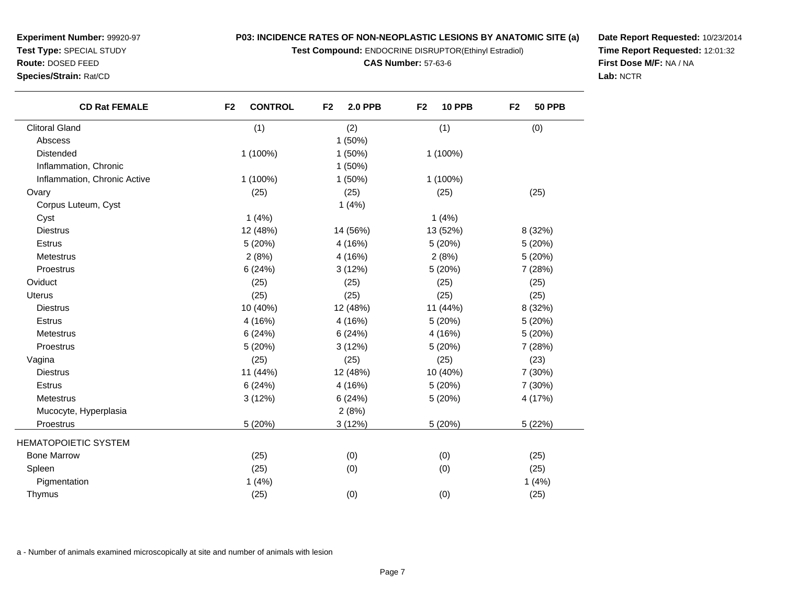**Test Compound:** ENDOCRINE DISRUPTOR(Ethinyl Estradiol)

#### **CAS Number:** 57-63-6

**Date Report Requested:** 10/23/2014**Time Report Requested:** 12:01:32**First Dose M/F:** NA / NA**Lab:** NCTR

| <b>CD Rat FEMALE</b>         | <b>CONTROL</b><br>F <sub>2</sub> | <b>2.0 PPB</b><br>F <sub>2</sub> | F <sub>2</sub><br><b>10 PPB</b> | F <sub>2</sub><br><b>50 PPB</b> |
|------------------------------|----------------------------------|----------------------------------|---------------------------------|---------------------------------|
| <b>Clitoral Gland</b>        | (1)                              | (2)                              | (1)                             | (0)                             |
| Abscess                      |                                  | 1(50%)                           |                                 |                                 |
| Distended                    | 1 (100%)                         | 1(50%)                           | 1 (100%)                        |                                 |
| Inflammation, Chronic        |                                  | 1(50%)                           |                                 |                                 |
| Inflammation, Chronic Active | $1(100\%)$                       | $1(50\%)$                        | 1 (100%)                        |                                 |
| Ovary                        | (25)                             | (25)                             | (25)                            | (25)                            |
| Corpus Luteum, Cyst          |                                  | 1(4%)                            |                                 |                                 |
| Cyst                         | 1(4%)                            |                                  | 1(4%)                           |                                 |
| <b>Diestrus</b>              | 12 (48%)                         | 14 (56%)                         | 13 (52%)                        | 8 (32%)                         |
| <b>Estrus</b>                | 5 (20%)                          | 4 (16%)                          | 5 (20%)                         | 5 (20%)                         |
| <b>Metestrus</b>             | 2(8%)                            | 4 (16%)                          | 2(8%)                           | 5 (20%)                         |
| Proestrus                    | 6(24%)                           | 3(12%)                           | 5 (20%)                         | 7 (28%)                         |
| Oviduct                      | (25)                             | (25)                             | (25)                            | (25)                            |
| <b>Uterus</b>                | (25)                             | (25)                             | (25)                            | (25)                            |
| <b>Diestrus</b>              | 10 (40%)                         | 12 (48%)                         | 11 (44%)                        | 8 (32%)                         |
| <b>Estrus</b>                | 4 (16%)                          | 4 (16%)                          | 5(20%)                          | 5(20%)                          |
| <b>Metestrus</b>             | 6(24%)                           | 6(24%)                           | 4 (16%)                         | 5 (20%)                         |
| Proestrus                    | 5 (20%)                          | 3(12%)                           | 5 (20%)                         | 7(28%)                          |
| Vagina                       | (25)                             | (25)                             | (25)                            | (23)                            |
| <b>Diestrus</b>              | 11 (44%)                         | 12 (48%)                         | 10 (40%)                        | 7 (30%)                         |
| <b>Estrus</b>                | 6(24%)                           | 4 (16%)                          | 5 (20%)                         | 7 (30%)                         |
| <b>Metestrus</b>             | 3(12%)                           | 6(24%)                           | 5 (20%)                         | 4 (17%)                         |
| Mucocyte, Hyperplasia        |                                  | 2(8%)                            |                                 |                                 |
| Proestrus                    | 5 (20%)                          | 3(12%)                           | 5(20%)                          | 5 (22%)                         |
| <b>HEMATOPOIETIC SYSTEM</b>  |                                  |                                  |                                 |                                 |
| <b>Bone Marrow</b>           | (25)                             | (0)                              | (0)                             | (25)                            |
| Spleen                       | (25)                             | (0)                              | (0)                             | (25)                            |
| Pigmentation                 | 1(4%)                            |                                  |                                 | 1(4%)                           |
| Thymus                       | (25)                             | (0)                              | (0)                             | (25)                            |
|                              |                                  |                                  |                                 |                                 |

a - Number of animals examined microscopically at site and number of animals with lesion

**Experiment Number:** 99920-97**Test Type:** SPECIAL STUDY**Route:** DOSED FEED**Species/Strain:** Rat/CD

 $\overline{\phantom{0}}$ 

—<br>—